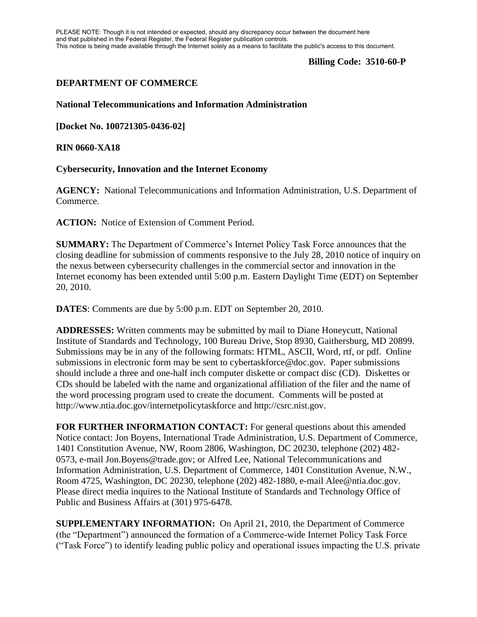PLEASE NOTE: Though it is not intended or expected, should any discrepancy occur between the document here and that published in the Federal Register, the Federal Register publication controls. This notice is being made available through the Internet solely as a means to facilitate the public's access to this document.

### **Billing Code: 3510-60-P**

# **DEPARTMENT OF COMMERCE**

#### **National Telecommunications and Information Administration**

**[Docket No. 100721305-0436-02]**

#### **RIN 0660-XA18**

## **Cybersecurity, Innovation and the Internet Economy**

**AGENCY:** National Telecommunications and Information Administration, U.S. Department of Commerce.

**ACTION:** Notice of Extension of Comment Period.

**SUMMARY:** The Department of Commerce's Internet Policy Task Force announces that the closing deadline for submission of comments responsive to the July 28, 2010 notice of inquiry on the nexus between cybersecurity challenges in the commercial sector and innovation in the Internet economy has been extended until 5:00 p.m. Eastern Daylight Time (EDT) on September 20, 2010.

**DATES**: Comments are due by 5:00 p.m. EDT on September 20, 2010.

**ADDRESSES:** Written comments may be submitted by mail to Diane Honeycutt, National Institute of Standards and Technology, 100 Bureau Drive, Stop 8930, Gaithersburg, MD 20899. Submissions may be in any of the following formats: HTML, ASCII, Word, rtf, or pdf. Online submissions in electronic form may be sent to cybertaskforce@doc.gov. Paper submissions should include a three and one-half inch computer diskette or compact disc (CD). Diskettes or CDs should be labeled with the name and organizational affiliation of the filer and the name of the word processing program used to create the document. Comments will be posted at http://www.ntia.doc.gov/internetpolicytaskforce and http://csrc.nist.gov.

**FOR FURTHER INFORMATION CONTACT:** For general questions about this amended Notice contact: Jon Boyens, International Trade Administration, U.S. Department of Commerce, 1401 Constitution Avenue, NW, Room 2806, Washington, DC 20230, telephone (202) 482- 0573, e-mail Jon.Boyens@trade.gov; or Alfred Lee, National Telecommunications and Information Administration, U.S. Department of Commerce, 1401 Constitution Avenue, N.W., Room 4725, Washington, DC 20230, telephone (202) 482-1880, e-mail Alee@ntia.doc.gov. Please direct media inquires to the National Institute of Standards and Technology Office of Public and Business Affairs at (301) 975-6478.

**SUPPLEMENTARY INFORMATION:** On April 21, 2010, the Department of Commerce (the "Department") announced the formation of a Commerce-wide Internet Policy Task Force ("Task Force") to identify leading public policy and operational issues impacting the U.S. private